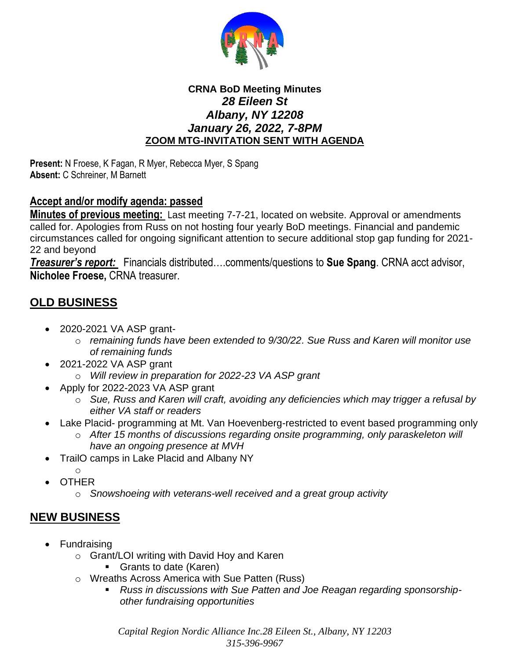

## **CRNA BoD Meeting Minutes** *28 Eileen St Albany, NY 12208 January 26, 2022, 7-8PM* **ZOOM MTG-INVITATION SENT WITH AGENDA**

**Present:** N Froese, K Fagan, R Myer, Rebecca Myer, S Spang **Absent:** C Schreiner, M Barnett

## **Accept and/or modify agenda: passed**

**Minutes of previous meeting:** Last meeting 7-7-21, located on website. Approval or amendments called for. Apologies from Russ on not hosting four yearly BoD meetings. Financial and pandemic circumstances called for ongoing significant attention to secure additional stop gap funding for 2021- 22 and beyond

*Treasurer's report:* Financials distributed….comments/questions to **Sue Spang**. CRNA acct advisor, **Nicholee Froese,** CRNA treasurer.

## **OLD BUSINESS**

- 2020-2021 VA ASP grant
	- o *remaining funds have been extended to 9/30/22. Sue Russ and Karen will monitor use of remaining funds*
- 2021-2022 VA ASP grant
	- o *Will review in preparation for 2022-23 VA ASP grant*
- Apply for 2022-2023 VA ASP grant
	- o *Sue, Russ and Karen will craft, avoiding any deficiencies which may trigger a refusal by either VA staff or readers*
- Lake Placid- programming at Mt. Van Hoevenberg-restricted to event based programming only
	- o *After 15 months of discussions regarding onsite programming, only paraskeleton will have an ongoing presence at MVH*
- TrailO camps in Lake Placid and Albany NY
	- o
- OTHER
	- o *Snowshoeing with veterans-well received and a great group activity*

## **NEW BUSINESS**

- Fundraising
	- o Grant/LOI writing with David Hoy and Karen
		- Grants to date (Karen)
	- o Wreaths Across America with Sue Patten (Russ)
		- *Russ in discussions with Sue Patten and Joe Reagan regarding sponsorshipother fundraising opportunities*

*Capital Region Nordic Alliance Inc.28 Eileen St., Albany, NY 12203 315-396-9967*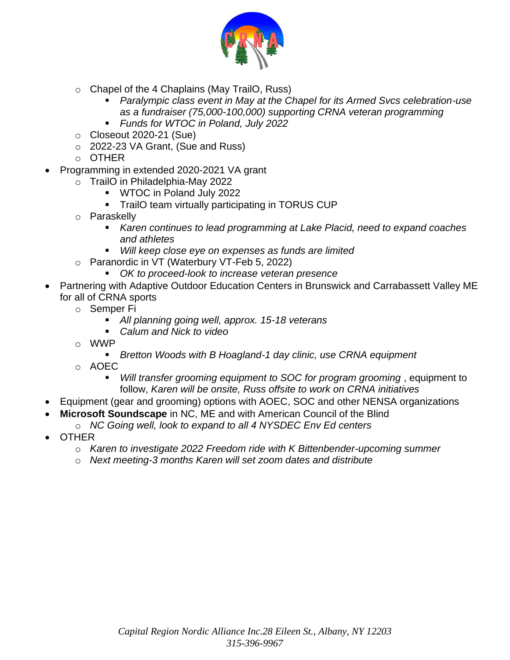

- o Chapel of the 4 Chaplains (May TrailO, Russ)
	- Paralympic class event in May at the Chapel for its Armed Svcs celebration-use *as a fundraiser (75,000-100,000) supporting CRNA veteran programming*
	- *Funds for WTOC in Poland, July 2022*
- $\circ$  Closeout 2020-21 (Sue)
- o 2022-23 VA Grant, (Sue and Russ)
- $\circ$  OTHER
- Programming in extended 2020-2021 VA grant
	- o TrailO in Philadelphia-May 2022
		- WTOC in Poland July 2022
		- **•** TrailO team virtually participating in TORUS CUP
	- o Paraskelly
		- *Karen continues to lead programming at Lake Placid, need to expand coaches and athletes*
		- *Will keep close eye on expenses as funds are limited*
	- o Paranordic in VT (Waterbury VT-Feb 5, 2022)
		- OK to proceed-look to increase veteran presence
- Partnering with Adaptive Outdoor Education Centers in Brunswick and Carrabassett Valley ME for all of CRNA sports
	- o Semper Fi
		- All planning going well, approx. 15-18 veterans
		- *Calum and Nick to video*
	- o WWP
		- *Bretton Woods with B Hoagland-1 day clinic, use CRNA equipment*
	- o AOEC
		- *Will transfer grooming equipment to SOC for program grooming*, equipment to follow, *Karen will be onsite, Russ offsite to work on CRNA initiatives*
- Equipment (gear and grooming) options with AOEC, SOC and other NENSA organizations
- **Microsoft Soundscape** in NC, ME and with American Council of the Blind
	- o *NC Going well, look to expand to all 4 NYSDEC Env Ed centers*
- OTHER
	- o *Karen to investigate 2022 Freedom ride with K Bittenbender-upcoming summer*
	- o *Next meeting-3 months Karen will set zoom dates and distribute*